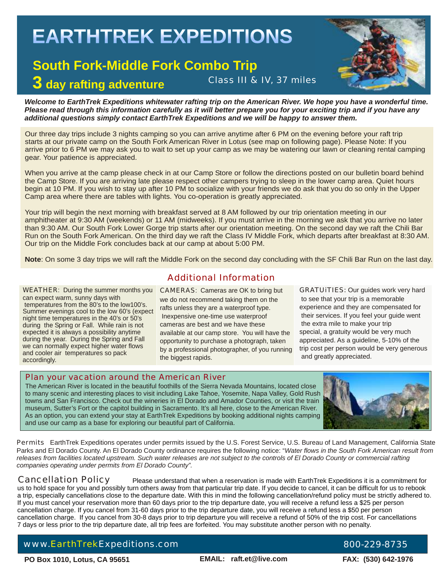# **EARTHTREK EXPEDITIONS**

# **South Fork-Middle Fork Combo Trip**

**3 day rafting adventure**

# Class III & IV, 37 miles

Welcome to EarthTrek Expeditions whitewater rafting trip on the American River. We hope you have a wonderful time. *Please read through this information carefully as it will better prepare you for your exciting trip and if you have any additional questions simply contact EarthTrek Expeditions and we will be happy to answer them.* 

Our three day trips include 3 nights camping so you can arrive anytime after 6 PM on the evening before your raft trip starts at our private camp on the South Fork American River in Lotus (see map on following page). Please Note: If you arrive prior to 6 PM we may ask you to wait to set up your camp as we may be watering our lawn or cleaning rental camping gear. Your patience is appreciated.

When you arrive at the camp please check in at our Camp Store or follow the directions posted on our bulletin board behind the Camp Store. If you are arriving late please respect other campers trying to sleep in the lower camp area. Quiet hours begin at 10 PM. If you wish to stay up after 10 PM to socialize with your friends we do ask that you do so only in the Upper Camp area where there are tables with lights. You co-operation is greatly appreciated.

Your trip will begin the next morning with breakfast served at 8 AM followed by our trip orientation meeting in our amphitheater at 9:30 AM (weekends) or 11 AM (midweeks). If you must arrive in the morning we ask that you arrive no later than 9:30 AM. Our South Fork Lower Gorge trip starts after our orientation meeting. On the second day we raft the Chili Bar Run on the South Fork American. On the third day we raft the Class IV Middle Fork, which departs after breakfast at 8:30 AM. Our trip on the Middle Fork concludes back at our camp at about 5:00 PM.

**Note**: On some 3 day trips we will raft the Middle Fork on the second day concluding with the SF Chili Bar Run on the last day.

WEATHER: During the summer months you can expect warm, sunny days with temperatures from the 80's to the low100's. Summer evenings cool to the low 60's (expect night time temperatures in the 40's or 50's during the Spring or Fall. While rain is not expected it is always a possibility anytime during the year. During the Spring and Fall we can normally expect higher water flows and cooler air temperatures so pack accordingly.

## Additional Information

CAMERAS: Cameras are OK to bring but we do not recommend taking them on the rafts unless they are a waterproof type. Inexpensive one-time use waterproof cameras are best and we have these available at our camp store. You will have the opportunity to purchase a photograph, taken by a professional photographer, of you running the biggest rapids.

GRATUiTIES: Our guides work very hard to see that your trip is a memorable experience and they are compensated for their services. If you feel your guide went the extra mile to make your trip special, a gratuity would be very much appreciated. As a guideline, 5-10% of the trip cost per person would be very generous and greatly appreciated.

### Plan your vacation around the American River

The American River is located in the beautiful foothills of the Sierra Nevada Mountains, located close to many scenic and interesting places to visit including Lake Tahoe, Yosemite, Napa Valley, Gold Rush towns and San Francisco. Check out the wineries in El Dorado and Amador Counties, or visit the train museum, Sutter's Fort or the capitol building in Sacramento. It's all here, close to the American River. As an option, you can extend your stay at EarthTrek Expeditions by booking additional nights camping and use our camp as a base for exploring our beautiful part of California.



Permits EarthTrek Expeditions operates under permits issued by the U.S. Forest Service, U.S. Bureau of Land Management, California State Parks and El Dorado County. An El Dorado County ordinance requires the following notice: "*Water flows in the South Fork American result from releases from facilities located upstream. Such water releases are not subject to the controls of El Dorado County or commercial rafting companies operating under permits from El Dorado County".*

Cancellation Policy Please understand that when a reservation is made with EarthTrek Expeditions it is a commitment for us to hold space for you and possibly turn others away from that particular trip date. If you decide to cancel, it can be difficult for us to rebook a trip, especially cancellations close to the departure date. With this in mind the following cancellation/refund policy must be strictly adhered to. If you must cancel your reservation more than 60 days prior to the trip departure date, you will receive a refund less a \$25 per person cancellation charge. If you cancel from 31-60 days prior to the trip departure date, you will receive a refund less a \$50 per person cancellation charge. If you cancel from 30-8 days prior to trip departure you will receive a refund of 50% of the trip cost. For cancellations 7 days or less prior to the trip departure date, all trip fees are forfeited. You may substitute another person with no penalty.

# www.EarthTrekExpeditions.com 800-229-8735

**PO Box 1010, Lotus, CA 95651 FAX: (530) 642-1976**

**EMAIL: raft.et@live.com**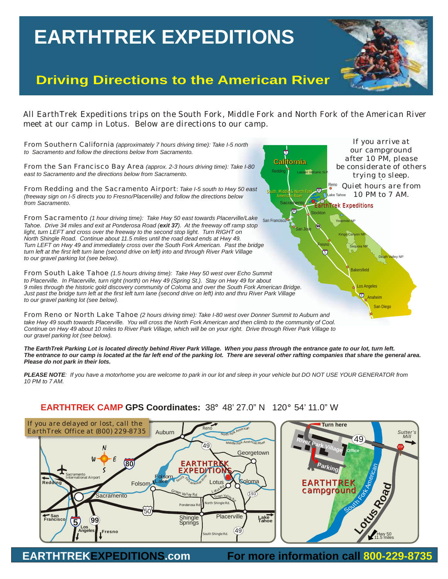# **EARTHTREK EXPEDITIONS EARTHTREK EXPEDITIONS**

# **Driving Directions to the American River**

*All EarthTrek Expeditions trips on the South Fork, Middle Fork and North Fork of the American River meet at our camp in Lotus. Below are directions to our camp.*



*The EarthTrek Parking Lot is located directly behind River Park Village. When you pass through the entrance gate to our lot, turn left. The entrance to our camp is located at the far left end of the parking lot. There are several other rafting companies that share the general area. Please do not park in their lots.*

*PLEASE NOTE: If you have a motorhome you are welcome to park in our lot and sleep in your vehicle but DO NOT USE YOUR GENERATOR from 10 PM to 7 AM.* 

## **EARTHTREK CAMP GPS Coordinates:** 38° 48' 27.0" N 120° 54' 11.0" W



**EARTHTREKEXPEDITIONS.com For more information call 800-229-8735**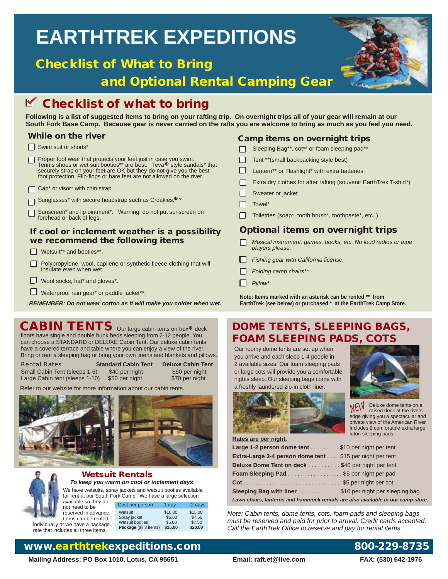# **EARTHTREK EXPEDITIONS EARTHTREK EXPEDITIONS**

# **Checklist of What to Bring**

 **and Optional Rental Camping Gear**



# **Z** Checklist of what to bring

**Following is a list of suggested items to bring on your rafting trip. On overnight trips all of your gear will remain at our South Fork Base Camp. Because gear is never carried on the rafts you are welcome to bring as much as you feel you need.** 

## **While on the river**

- Swim suit or shorts\*
- Proper foot wear that protects your feet just in case you swim. Tennis shoes or wet suit booties\*\* are best. Teva® style sandals\* that securely strap on your feet are OK but they do not give you the best foot protection. Flip-flops or bare feet are not allowed on the river.
- $\Box$  Cap<sup>\*</sup> or visor<sup>\*</sup> with chin strap
- Sunglasses\* with secure headstrap such as Croakies.<sup>®</sup> \*
- Sunscreen\* and lip ointment\*. Warning: do not put sunscreen on forehead or back of legs.

### **If cool or inclement weather is a possibility we recommend the following items**

- Wetsuit\*\* and booties\*\*.
- Polypropylene, wool, capilene or synthetic fleece clothing that will  $\Box$ insulate even when wet.
- **L** Wool socks, hat\* and gloves\*.
- Waterproof rain gear\* or paddle jacket\*\*.

*REMEMBER: Do not wear cotton as it will make you colder when wet.*

### floors have single and double bunk beds sleeping from 2-12 people. You can choose a STANDARD or DELUXE Cabin Tent. Our deluxe cabin tents have a covered terrace and table where you can enjoy a view of the river. Bring or rent a sleeping bag or bring your own linens and blankets and pillows.

Rental Rates **Standard Cabin Tent Deluxe Cabin Tent** Small Cabin Tent (sleeps 1-6) \$40 per night \$60 per night \$60 per night Large Cabin tent (sleeps 1-10) \$50 per night Large Cabin tent (sleeps 1-10)

2 days

Refer to our website for more information about our cabin tents.







### **Wetsuit Rentals** *To keep you warm on cool or inclement days*

 We have wetsuits, spray jackets and wetsuit booties available for rent at our South Fork Camp. We have a large selection<br>available so they do

| available so they do                                                                                                                                                                                                            |                       |         |         |
|---------------------------------------------------------------------------------------------------------------------------------------------------------------------------------------------------------------------------------|-----------------------|---------|---------|
|                                                                                                                                                                                                                                 | Cost per person       | 1 dav   | 2 day   |
| not need to be                                                                                                                                                                                                                  |                       |         |         |
| reserved in advance.                                                                                                                                                                                                            | Wetsuit               | \$10.00 | \$15.00 |
| Items can be rented                                                                                                                                                                                                             | Spray jacket          | \$5.00  | \$7.50  |
| individually or we have a package                                                                                                                                                                                               | Wetsuit booties       | \$5.00  | \$7.50  |
| $\sim$ . The second contract of the second contract of the second contract of the second contract of the second contract of the second contract of the second contract of the second contract of the second contract of the sec | Package (all 3 items) | \$15.00 | \$20.00 |

individually or w rate that includes all three items.

# **www.earthtrekexpeditions.com 800-229-8735**

**Mailing Address: PO Box 1010, Lotus, CA 95651 Email: raft.et@live.com FAX: (530) 642-1976**

## **Camp items on overnight trips**

- Sleeping Bag\*\*, cot\*\* or foam sleeping pad\*\*  $\Box$ Tent \*\*(small backpacking style best) Lantern\*\* or Flashlight\* with extra batteries Extra dry clothes for after rafting (souvenir EarthTrek T-shirt\*)
- Sweater or jacket
- $\Box$  Towel\*
- Toiletries (soap\*, tooth brush\*, toothpaste\*, etc. )

## **Optional items on overnight trips**

- *Musical instrument, games, books, etc. No loud radios or tape players please.*
- *Fishing gear with California license.*
- *Folding camp chairs\*\**
- *Pillow\**

**Note: Items marked with an asterisk can be rented \*\* from EarthTrek (see below) or purchased \* at the EarthTrek Camp Store.**

# CABIN TENTS Our large cabin tents on trex® deck DOME TENTS, SLEEPING BAGS, **FOAM SLEEPING PADS, COTS**

Our roomy dome tents are set up when you arrive and each sleep 1-4 people in 2 available sizes. Our foam sleeping pads or large cots will provide you a comfortable nights sleep. Our sleeping bags come with a freshly laundered zip-in cloth liner.



NEW Deluxe dome tents on a raised deck at the rivers edge giving you a spectacular and private view of the American River. Includes 2 comfortable extra large futon sleeping pads.

**Rates are per night.**

| Large 1-2 person dome tent \$10 per night per tent                              |  |
|---------------------------------------------------------------------------------|--|
| Extra-Large 3-4 person dome tent \$15 per night per tent                        |  |
| Deluxe Dome Tent on deck \$40 per night per tent                                |  |
| Foam Sleeping Pad \$5 per night per pad                                         |  |
|                                                                                 |  |
| <b>Sleeping Bag with liner</b> \$10 per night per sleeping bag                  |  |
| Lawn chairs, lanterns and hammock rentals are also available in our camp store. |  |
|                                                                                 |  |

*Note: Cabin tents, dome tents, cots, foam pads and sleeping bags must be reserved and paid for prior to arrival. Credit cards accepted. Call the EarthTrek Office to reserve and pay for rental items.*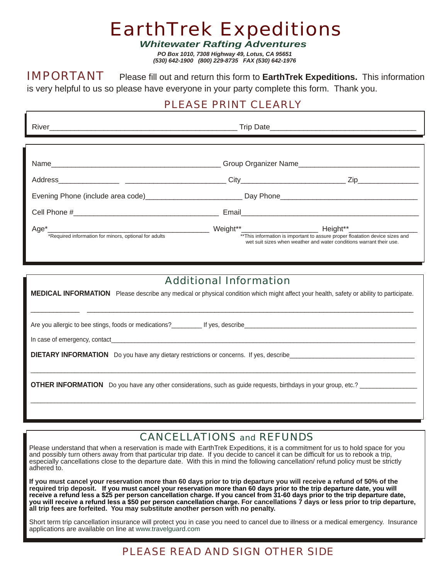# EarthTrek Expeditions

*Whitewater Rafting Adventures*

*PO Box 1010, 7308 Highway 49, Lotus, CA 95651 (530) 642-1900 (800) 229-8735 FAX (530) 642-1976*

IMPORTANT Please fill out and return this form to **EarthTrek Expeditions.** This information is very helpful to us so please have everyone in your party complete this form. Thank you.

# PLEASE PRINT CLEARLY

| *Required information for minors, optional for adults |                        | ** This information is important to assure proper floatation device sizes and<br>wet suit sizes when weather and water conditions warrant their use. |
|-------------------------------------------------------|------------------------|------------------------------------------------------------------------------------------------------------------------------------------------------|
|                                                       | Additional Information |                                                                                                                                                      |

**MEDICAL INFORMATION** Please describe any medical or physical condition which might affect your health, safety or ability to participate. \_\_\_\_\_\_\_\_\_\_\_\_\_ \_\_\_\_\_\_\_\_\_\_\_\_\_\_\_\_\_\_\_\_\_\_\_\_\_\_\_\_\_\_\_\_\_\_\_\_\_\_\_\_\_\_\_\_\_\_\_\_\_\_\_\_\_\_\_\_\_\_\_\_\_\_\_\_\_\_\_\_\_\_\_\_\_\_\_\_\_\_\_\_\_\_\_\_\_\_\_ Are you allergic to bee stings, foods or medications? The ves, describe In case of emergency, contact **DIETARY INFORMATION** Do you have any dietary restrictions or concerns. If yes, describe \_\_\_\_\_\_\_\_\_\_\_\_\_\_\_\_\_\_\_\_\_\_\_\_\_\_\_\_\_\_\_\_\_\_\_\_\_\_\_\_\_\_\_\_\_\_\_\_\_\_\_\_\_\_\_\_\_\_\_\_\_\_\_\_\_\_\_\_\_\_\_\_\_\_\_\_\_\_\_\_\_\_\_\_\_\_\_\_\_\_\_\_\_\_\_\_\_\_\_\_\_\_\_\_\_\_\_\_\_\_\_\_\_\_ **OTHER INFORMATION** Do you have any other considerations, such as quide requests, birthdays in your group, etc.? \_\_\_\_\_\_\_\_\_\_\_\_\_\_\_\_\_\_\_\_\_\_\_\_\_\_\_\_\_\_\_\_\_\_\_\_\_\_\_\_\_\_\_\_\_\_\_\_\_\_\_\_\_\_\_\_\_\_\_\_\_\_\_\_\_\_\_\_\_\_\_\_\_\_\_\_\_\_\_\_\_\_\_\_\_\_\_\_\_\_\_\_\_\_\_\_\_\_\_\_\_\_\_\_\_\_\_\_\_\_\_\_\_\_

# CANCELLATIONS and REFUNDS

Please understand that when a reservation is made with EarthTrek Expeditions, it is a commitment for us to hold space for you and possibly turn others away from that particular trip date. If you decide to cancel it can be difficult for us to rebook a trip, especially cancellations close to the departure date. With this in mind the following cancellation/ refund policy must be strictly adhered to.

**If you must cancel your reservation more than 60 days prior to trip departure you will receive a refund of 50% of the required trip deposit. For cancellations 7 days or less prior to trip departure, all trip fees are forfeited. You may substitute another person with no penalty. If you must cancel your reservation more than 60 days prior to the trip departure date, you will receive a refund less a \$25 per person cancellation charge. If you cancel from 31-60 days prior to the trip departure date, you will receive a refund less a \$50 per person cancellation charge.** 

Short term trip cancellation insurance will protect you in case you need to cancel due to illness or a medical emergency. Insurance applications are available on line at www.travelguard.com

# PLEASE READ AND SIGN OTHER SIDE